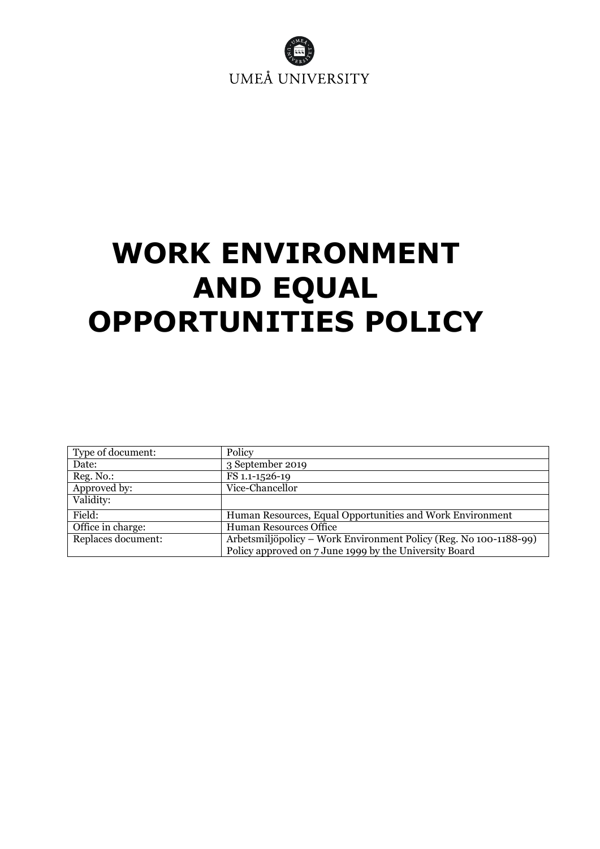

# <span id="page-0-0"></span>**WORK ENVIRONMENT AND EQUAL OPPORTUNITIES POLICY**

| Type of document:  | Policy                                                            |
|--------------------|-------------------------------------------------------------------|
| Date:              | 3 September 2019                                                  |
| Reg. No.:          | FS 1.1-1526-19                                                    |
| Approved by:       | Vice-Chancellor                                                   |
| Validity:          |                                                                   |
| Field:             | Human Resources, Equal Opportunities and Work Environment         |
| Office in charge:  | <b>Human Resources Office</b>                                     |
| Replaces document: | Arbetsmiljöpolicy – Work Environment Policy (Reg. No 100-1188-99) |
|                    | Policy approved on 7 June 1999 by the University Board            |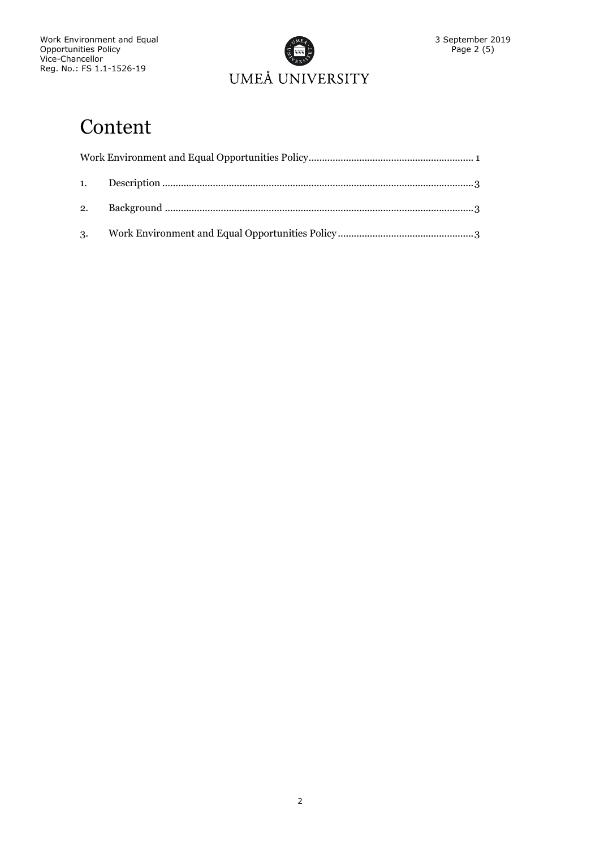

# Content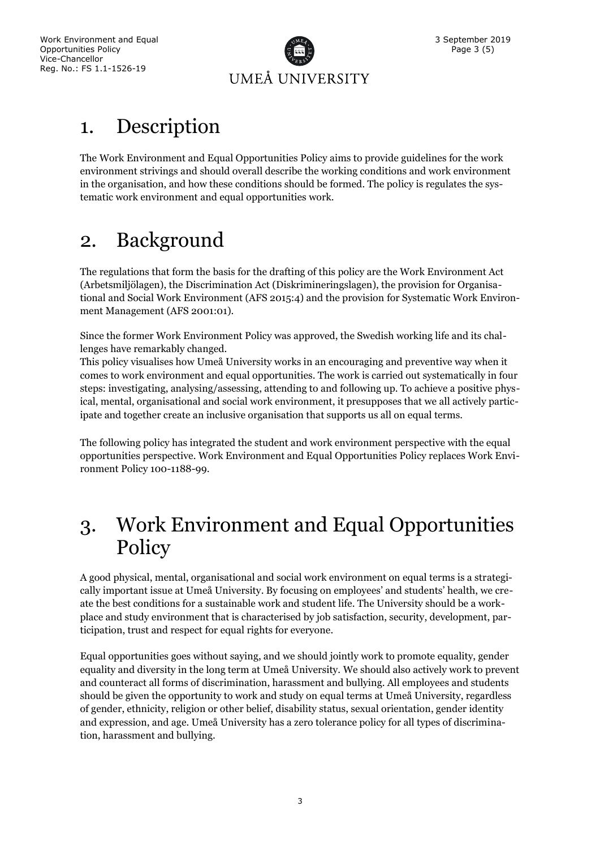

## <span id="page-2-0"></span>1. Description

The Work Environment and Equal Opportunities Policy aims to provide guidelines for the work environment strivings and should overall describe the working conditions and work environment in the organisation, and how these conditions should be formed. The policy is regulates the systematic work environment and equal opportunities work.

# <span id="page-2-1"></span>2. Background

The regulations that form the basis for the drafting of this policy are the Work Environment Act (Arbetsmiljölagen), the Discrimination Act (Diskrimineringslagen), the provision for Organisational and Social Work Environment (AFS 2015:4) and the provision for Systematic Work Environment Management (AFS 2001:01).

Since the former Work Environment Policy was approved, the Swedish working life and its challenges have remarkably changed.

This policy visualises how Umeå University works in an encouraging and preventive way when it comes to work environment and equal opportunities. The work is carried out systematically in four steps: investigating, analysing/assessing, attending to and following up. To achieve a positive physical, mental, organisational and social work environment, it presupposes that we all actively participate and together create an inclusive organisation that supports us all on equal terms.

The following policy has integrated the student and work environment perspective with the equal opportunities perspective. Work Environment and Equal Opportunities Policy replaces Work Environment Policy 100-1188-99.

### <span id="page-2-2"></span>3. Work Environment and Equal Opportunities Policy

A good physical, mental, organisational and social work environment on equal terms is a strategically important issue at Umeå University. By focusing on employees' and students' health, we create the best conditions for a sustainable work and student life. The University should be a workplace and study environment that is characterised by job satisfaction, security, development, participation, trust and respect for equal rights for everyone.

Equal opportunities goes without saying, and we should jointly work to promote equality, gender equality and diversity in the long term at Umeå University. We should also actively work to prevent and counteract all forms of discrimination, harassment and bullying. All employees and students should be given the opportunity to work and study on equal terms at Umeå University, regardless of gender, ethnicity, religion or other belief, disability status, sexual orientation, gender identity and expression, and age. Umeå University has a zero tolerance policy for all types of discrimination, harassment and bullying.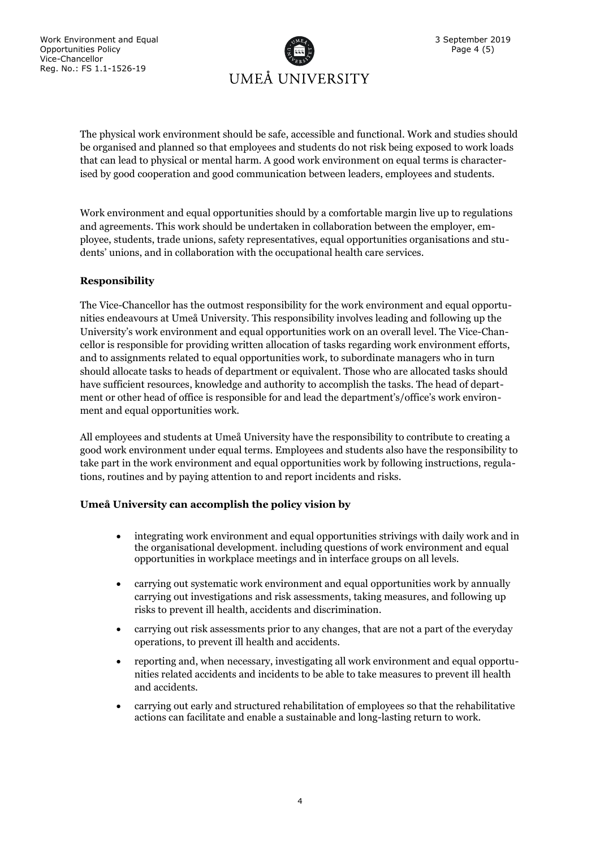

The physical work environment should be safe, accessible and functional. Work and studies should be organised and planned so that employees and students do not risk being exposed to work loads that can lead to physical or mental harm. A good work environment on equal terms is characterised by good cooperation and good communication between leaders, employees and students.

Work environment and equal opportunities should by a comfortable margin live up to regulations and agreements. This work should be undertaken in collaboration between the employer, employee, students, trade unions, safety representatives, equal opportunities organisations and students' unions, and in collaboration with the occupational health care services.

### **Responsibility**

The Vice-Chancellor has the outmost responsibility for the work environment and equal opportunities endeavours at Umeå University. This responsibility involves leading and following up the University's work environment and equal opportunities work on an overall level. The Vice-Chancellor is responsible for providing written allocation of tasks regarding work environment efforts, and to assignments related to equal opportunities work, to subordinate managers who in turn should allocate tasks to heads of department or equivalent. Those who are allocated tasks should have sufficient resources, knowledge and authority to accomplish the tasks. The head of department or other head of office is responsible for and lead the department's/office's work environment and equal opportunities work.

All employees and students at Umeå University have the responsibility to contribute to creating a good work environment under equal terms. Employees and students also have the responsibility to take part in the work environment and equal opportunities work by following instructions, regulations, routines and by paying attention to and report incidents and risks.

#### **Umeå University can accomplish the policy vision by**

- integrating work environment and equal opportunities strivings with daily work and in the organisational development. including questions of work environment and equal opportunities in workplace meetings and in interface groups on all levels.
- carrying out systematic work environment and equal opportunities work by annually carrying out investigations and risk assessments, taking measures, and following up risks to prevent ill health, accidents and discrimination.
- carrying out risk assessments prior to any changes, that are not a part of the everyday operations, to prevent ill health and accidents.
- reporting and, when necessary, investigating all work environment and equal opportunities related accidents and incidents to be able to take measures to prevent ill health and accidents.
- carrying out early and structured rehabilitation of employees so that the rehabilitative actions can facilitate and enable a sustainable and long-lasting return to work.